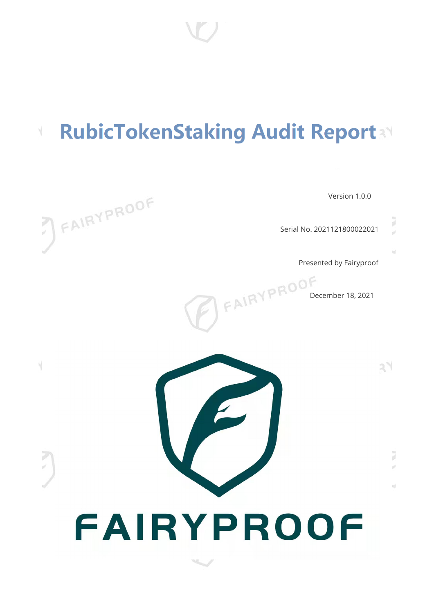#### **RubicTokenStaking Audit Report** V.

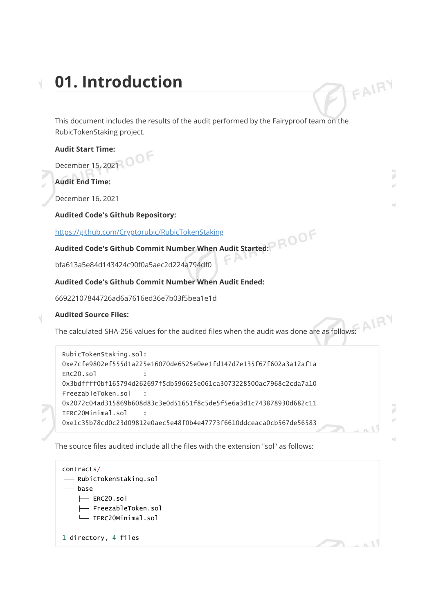# **01. Introduction**

This document includes the results of the audit performed by the Fairyproof team on the RubicTokenStaking project.

#### **Audit Start Time:**

December 15, 2021

**Audit End Time:**

December 16, 2021

#### **Audited Code's Github Repository:**

<https://github.com/Cryptorubic/RubicTokenStaking>

#### **Audited Code's Github Commit Number When Audit Started:**

bfa613a5e84d143424c90f0a5aec2d224a794df0

#### **Audited Code's Github Commit Number When Audit Ended:**

66922107844726ad6a7616ed36e7b03f5bea1e1d

#### **Audited Source Files:**

The calculated SHA-256 values for the audited files when the audit was done are as follows:

```
RubicTokenStaking.sol:
0xe7cfe9802ef555d1a225e16070de6525e0ee1fd147d7e135f67f602a3a12af1a
ERC20.so10x3bdffff0bf165794d262697f5db596625e061ca3073228500ac7968c2cda7a10
FreezableToken.sol :
0x2072c04ad315869b608d83c3e0d51651f8c5de5f5e6a3d1c743878930d682c11
IERC20Minimal.sol :
0xe1c35b78cd0c23d09812e0aec5e48f0b4e47773f6610ddceaca0cb567de56583
```
The source files audited include all the files with the extension "sol" as follows:

```
contracts/
├── RubicTokenStaking.sol
  - base
    ├── ERC20.sol
    ├── FreezableToken.sol
    └── IERC20Minimal.sol
1 directory, 4 files
```
J w.

FAIRY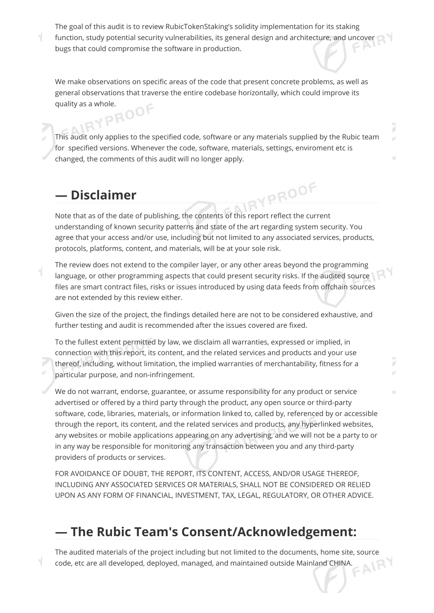The goal of this audit is to review RubicTokenStaking's solidity implementation for its staking function, study potential security vulnerabilities, its general design and architecture, and uncover bugs that could compromise the software in production.

We make observations on specific areas of the code that present concrete problems, as well as general observations that traverse the entire codebase horizontally, which could improve its quality as a whole.

This audit only applies to the specified code, software or any materials supplied by the Rubic team for specified versions. Whenever the code, software, materials, settings, enviroment etc is changed, the comments of this audit will no longer apply.

## **— Disclaimer**

Note that as of the date of publishing, the contents of this report reflect the current understanding of known security patterns and state of the art regarding system security. You agree that your access and/or use, including but not limited to any associated services, products, protocols, platforms, content, and materials, will be at your sole risk.

The review does not extend to the compiler layer, or any other areas beyond the programming language, or other programming aspects that could present security risks. If the audited source files are smart contract files, risks or issues introduced by using data feeds from offchain sources are not extended by this review either.

Given the size of the project, the findings detailed here are not to be considered exhaustive, and further testing and audit is recommended after the issues covered are fixed.

To the fullest extent permitted by law, we disclaim all warranties, expressed or implied, in connection with this report, its content, and the related services and products and your use thereof, including, without limitation, the implied warranties of merchantability, fitness for a particular purpose, and non-infringement.

We do not warrant, endorse, guarantee, or assume responsibility for any product or service advertised or offered by a third party through the product, any open source or third-party software, code, libraries, materials, or information linked to, called by, referenced by or accessible through the report, its content, and the related services and products, any hyperlinked websites, any websites or mobile applications appearing on any advertising, and we will not be a party to or in any way be responsible for monitoring any transaction between you and any third-party providers of products or services.

FOR AVOIDANCE OF DOUBT, THE REPORT, ITS CONTENT, ACCESS, AND/OR USAGE THEREOF, INCLUDING ANY ASSOCIATED SERVICES OR MATERIALS, SHALL NOT BE CONSIDERED OR RELIED UPON AS ANY FORM OF FINANCIAL, INVESTMENT, TAX, LEGAL, REGULATORY, OR OTHER ADVICE.

## **— The Rubic Team's Consent/Acknowledgement:**

The audited materials of the project including but not limited to the documents, home site, source code, etc are all developed, deployed, managed, and maintained outside Mainland CHINA. code, etc are all developed, deployed, managed, and maintained outside Mainland CHINA.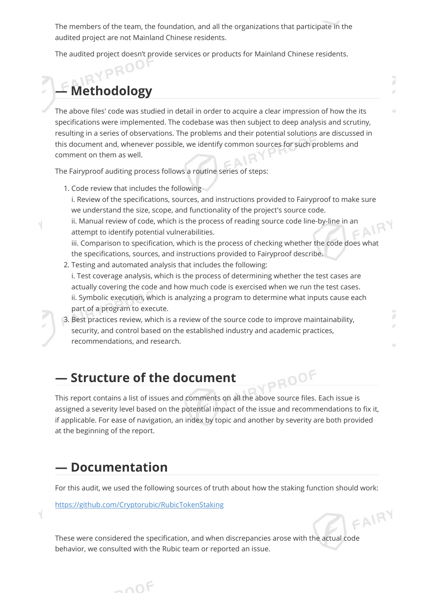The members of the team, the foundation, and all the organizations that participate in the audited project are not Mainland Chinese residents.

The audited project doesn't provide services or products for Mainland Chinese residents.

## **— Methodology**

The above files' code was studied in detail in order to acquire a clear impression of how the its specifications were implemented. The codebase was then subject to deep analysis and scrutiny, resulting in a series of observations. The problems and their potential solutions are discussed in this document and, whenever possible, we identify common sources for such problems and comment on them as well.

The Fairyproof auditing process follows a routine series of steps:

- 1. Code review that includes the following i. Review of the specifications, sources, and instructions provided to Fairyproof to make sure we understand the size, scope, and functionality of the project's source code. ii. Manual review of code, which is the process of reading source code line-by-line in an  $=$  A attempt to identify potential vulnerabilities. iii. Comparison to specification, which is the process of checking whether the code does what the specifications, sources, and instructions provided to Fairyproof describe. 2. Testing and automated analysis that includes the following:
	- i. Test coverage analysis, which is the process of determining whether the test cases are actually covering the code and how much code is exercised when we run the test cases. ii. Symbolic execution, which is analyzing a program to determine what inputs cause each part of a program to execute.

FAIRY

J ¥

#### 3. Best practices review, which is a review of the source code to improve maintainability, security, and control based on the established industry and academic practices, recommendations, and research.

## **— Structure of the document**

PROOF This report contains a list of issues and comments on all the above source files. Each issue is assigned a severity level based on the potential impact of the issue and recommendations to fix it, if applicable. For ease of navigation, an index by topic and another by severity are both provided at the beginning of the report.

## **— Documentation**

For this audit, we used the following sources of truth about how the staking function should work:

<https://github.com/Cryptorubic/RubicTokenStaking>

These were considered the specification, and when discrepancies arose with the actual code behavior, we consulted with the Rubic team or reported an issue.

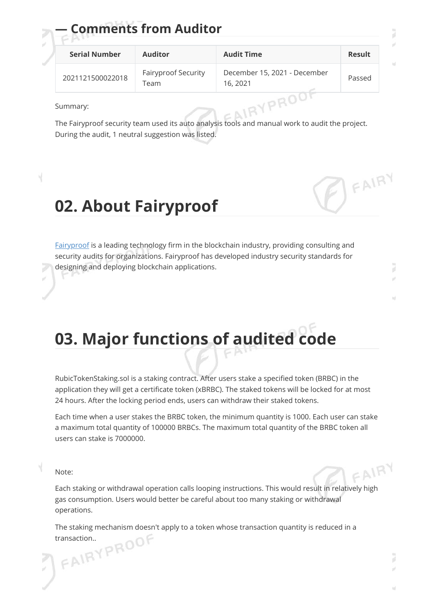| <b>Serial Number</b> | <b>Auditor</b>                     | <b>Audit Time</b>                        | Result |  |  |
|----------------------|------------------------------------|------------------------------------------|--------|--|--|
| 2021121500022018     | <b>Fairyproof Security</b><br>Team | December 15, 2021 - December<br>16, 2021 | Passed |  |  |

Summary:

The Fairyproof security team used its auto analysis tools and manual work to audit the project. During the audit, 1 neutral suggestion was listed.

# **02. About Fairyproof**

**— Comments from Auditor**

[Fairyproof](https://www.fairyproof.com/) is a leading technology firm in the blockchain industry, providing consulting and security audits for organizations. Fairyproof has developed industry security standards for designing and deploying blockchain applications.

**03. Major functions of audited code**

RubicTokenStaking.sol is a staking contract. After users stake a specified token (BRBC) in the application they will get a certificate token (xBRBC). The staked tokens will be locked for at most 24 hours. After the locking period ends, users can withdraw their staked tokens.

Each time when a user stakes the BRBC token, the minimum quantity is 1000. Each user can stake a maximum total quantity of 100000 BRBCs. The maximum total quantity of the BRBC token all users can stake is 7000000.

Note:

Each staking or withdrawal operation calls looping instructions. This would result in relatively high gas consumption. Users would better be careful about too many staking or withdrawal operations.

The staking mechanism doesn't apply to a token whose transaction quantity is reduced in a FAIRYPROOF

 $FANRY$ 

7

FAIRY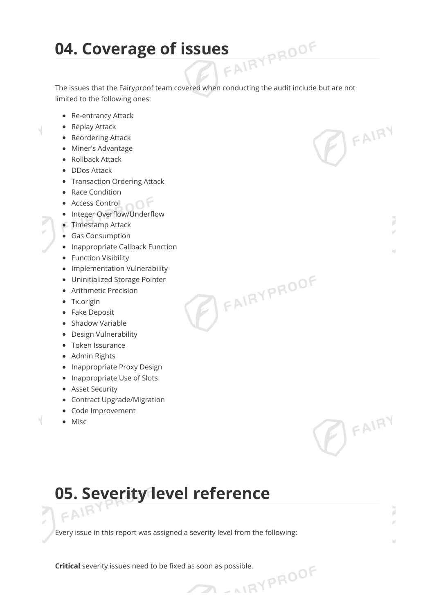# **04. Coverage of issues**

The issues that the Fairyproof team covered when conducting the audit include but are not limited to the following ones:

**PEAIRYPROOF** 

BEAIRY

BEAIRY

7 ¥

J ú

- Re-entrancy Attack
- Replay Attack

Ч

- Reordering Attack
- Miner's Advantage
- Rollback Attack
- DDos Attack
- Transaction Ordering Attack
- Race Condition
- **Access Control**
- Integer Overflow/Underflow
- Timestamp Attack
- Gas Consumption
- Inappropriate Callback Function
- Function Visibility
- Implementation Vulnerability
- Uninitialized Storage Pointer
- Arithmetic Precision
- Tx.origin
- Fake Deposit
- Shadow Variable
- Design Vulnerability
- Token Issurance
- Admin Rights
- Inappropriate Proxy Design
- Inappropriate Use of Slots
- Asset Security
- Contract Upgrade/Migration
- Code Improvement
- Misc

V

# **05. Severity level reference**  $FANR$

Every issue in this report was assigned a severity level from the following:

 $\mathcal{D}$ 

**Critical** severity issues need to be fixed as soon as possible.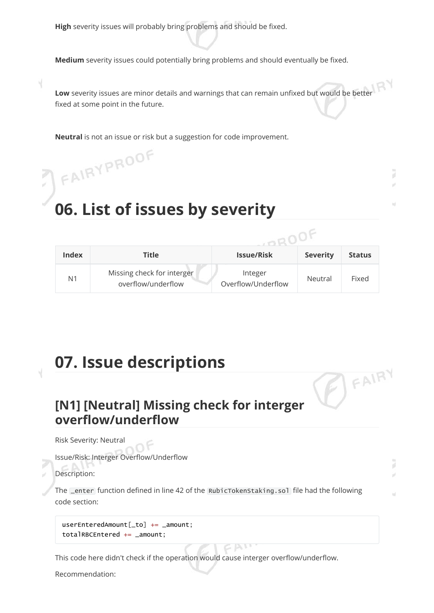**High** severity issues will probably bring problems and should be fixed.

**Medium** severity issues could potentially bring problems and should eventually be fixed.

**Low** severity issues are minor details and warnings that can remain unfixed but would be better fixed at some point in the future.

**Neutral** is not an issue or risk but a suggestion for code improvement.

# **06. List of issues by severity**

FAIRYPROOF

|                |                                                  | an and Tal                    |                 |               |  |  |
|----------------|--------------------------------------------------|-------------------------------|-----------------|---------------|--|--|
| <b>Index</b>   | Title                                            | <b>Issue/Risk</b>             | <b>Severity</b> | <b>Status</b> |  |  |
| N <sub>1</sub> | Missing check for interger<br>overflow/underflow | Integer<br>Overflow/Underflow | Neutral         | Fixed         |  |  |

<sup>FAIRY</sup>

7

# **07. Issue descriptions**

## **[N1] [Neutral] Missing check for interger overflow/underflow**

Risk Severity: Neutral

Issue/Risk: Interger Overflow/Underflow

Description:

The **Lenter** function defined in line 42 of the RubicTokenStaking.sol file had the following code section:

 $CAN$ 

userEnteredAmount[\_to] += \_amount; totalRBCEntered += \_amount;

This code here didn't check if the operation would cause interger overflow/underflow.

Recommendation: